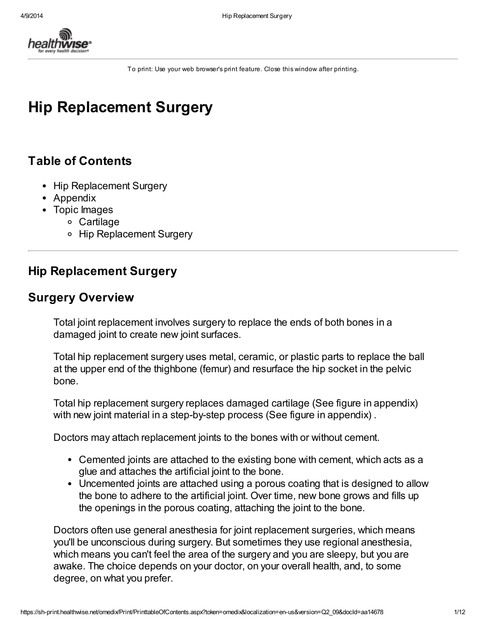

To print: Use your web browser'sprint feature. Close this window after printing.

# Hip Replacement Surgery

## Table of Contents

- Hip Replacement Surgery
- Appendix
- Topic Images
	- Cartilage
	- Hip Replacement Surgery

## Hip Replacement Surgery

### Surgery Overview

Total joint replacement involves surgery to replace the ends of both bones in a damaged joint to create new joint surfaces.

Total hip replacement surgery uses metal, ceramic, or plastic parts to replace the ball at the upper end of the thighbone (femur) and resurface the hip socket in the pelvic bone.

Total hip replacement surgery replaces damaged cartilage (See figure in appendix) with new joint material in a step-by-step process (See figure in appendix).

Doctors may attach replacement joints to the bones with or without cement.

- Cemented joints are attached to the existing bone with cement, which acts as a glue and attaches the artificial joint to the bone.
- Uncemented joints are attached using a porous coating that is designed to allow the bone to adhere to the artificial joint. Over time, new bone grows and fills up the openings in the porous coating, attaching the joint to the bone.

Doctors often use general anesthesia for joint replacement surgeries, which means you'll be unconscious during surgery. But sometimes they use regional anesthesia, which means you can't feel the area of the surgery and you are sleepy, but you are awake. The choice depends on your doctor, on your overall health, and, to some degree, on what you prefer.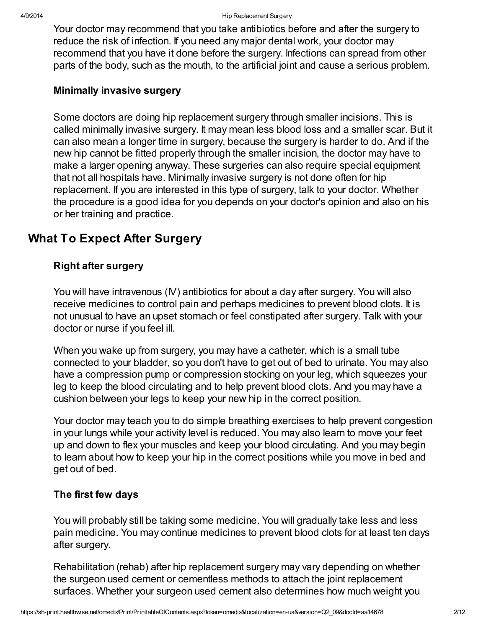Your doctor may recommend that you take antibiotics before and after the surgery to reduce the risk of infection. If you need any major dental work, your doctor may recommend that you have it done before the surgery. Infections can spread from other parts of the body, such as the mouth, to the artificial joint and cause a serious problem.

#### Minimally invasive surgery

Some doctors are doing hip replacement surgery through smaller incisions. This is called minimally invasive surgery. It may mean less blood loss and a smaller scar. But it can also mean a longer time in surgery, because the surgery is harder to do. And if the new hip cannot be fitted properly through the smaller incision, the doctor may have to make a larger opening anyway. These surgeries can also require special equipment that not all hospitals have. Minimally invasive surgery is not done often for hip replacement. If you are interested in this type of surgery, talk to your doctor. Whether the procedure is a good idea for you depends on your doctor's opinion and also on his or her training and practice.

## What To Expect After Surgery

#### Right after surgery

You will have intravenous (IV) antibiotics for about a day after surgery. You will also receive medicines to control pain and perhaps medicines to prevent blood clots. It is not unusual to have an upset stomach or feel constipated after surgery. Talk with your doctor or nurse if you feel ill.

When you wake up from surgery, you may have a catheter, which is a small tube connected to your bladder, so you don't have to get out of bed to urinate. You may also have a compression pump or compression stocking on your leg, which squeezes your leg to keep the blood circulating and to help prevent blood clots. And you may have a cushion between your legs to keep your new hip in the correct position.

Your doctor may teach you to do simple breathing exercises to help prevent congestion in your lungs while your activity level is reduced. You may also learn to move your feet up and down to flex your muscles and keep your blood circulating. And you may begin to learn about how to keep your hip in the correct positions while you move in bed and get out of bed.

#### The first few days

You will probably still be taking some medicine. You will gradually take less and less pain medicine. You may continue medicines to prevent blood clots for at least ten days after surgery.

Rehabilitation (rehab) after hip replacement surgery may vary depending on whether the surgeon used cement or cementless methods to attach the joint replacement surfaces. Whether your surgeon used cement also determines how much weight you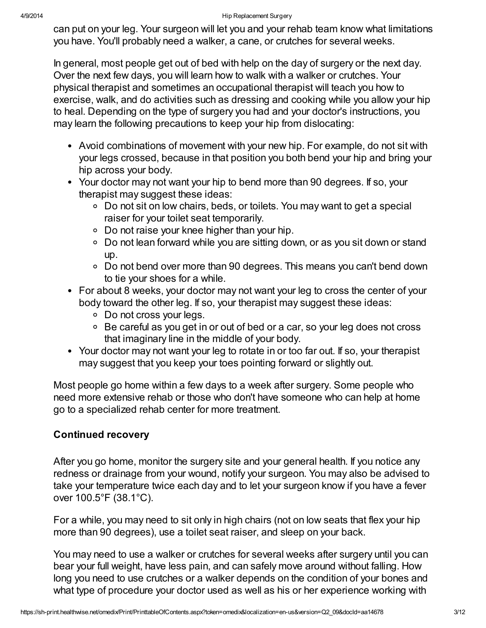can put on your leg. Your surgeon will let you and your rehab team know what limitations you have. You'll probably need a walker, a cane, or crutches for several weeks.

In general, most people get out of bed with help on the day of surgery or the next day. Over the next few days, you will learn how to walk with a walker or crutches. Your physical therapist and sometimes an occupational therapist will teach you how to exercise, walk, and do activities such as dressing and cooking while you allow your hip to heal. Depending on the type of surgery you had and your doctor's instructions, you may learn the following precautions to keep your hip from dislocating:

- Avoid combinations of movement with your new hip. For example, do not sit with your legs crossed, because in that position you both bend your hip and bring your hip across your body.
- Your doctor may not want your hip to bend more than 90 degrees. If so, your therapist may suggest these ideas:
	- Do not sit on low chairs, beds, or toilets. You may want to get a special raiser for your toilet seat temporarily.
	- Do not raise your knee higher than your hip.
	- Do not lean forward while you are sitting down, or as you sit down or stand up.
	- Do not bend over more than 90 degrees. This means you can't bend down to tie your shoes for a while.
- For about 8 weeks, your doctor may not want your leg to cross the center of your body toward the other leg. If so, your therapist may suggest these ideas:
	- Do not cross your legs.
	- Be careful as you get in or out of bed or a car, so your leg does not cross that imaginary line in the middle of your body.
- Your doctor may not want your leg to rotate in or too far out. If so, your therapist may suggest that you keep your toes pointing forward or slightly out.

Most people go home within a few days to a week after surgery. Some people who need more extensive rehab or those who don't have someone who can help at home go to a specialized rehab center for more treatment.

### Continued recovery

After you go home, monitor the surgery site and your general health. If you notice any redness or drainage from your wound, notify your surgeon. You may also be advised to take your temperature twice each day and to let your surgeon know if you have a fever over 100.5°F (38.1°C).

For a while, you may need to sit only in high chairs (not on low seats that flex your hip more than 90 degrees), use a toilet seat raiser, and sleep on your back.

You may need to use a walker or crutches for several weeks after surgery until you can bear your full weight, have less pain, and can safely move around without falling. How long you need to use crutches or a walker depends on the condition of your bones and what type of procedure your doctor used as well as his or her experience working with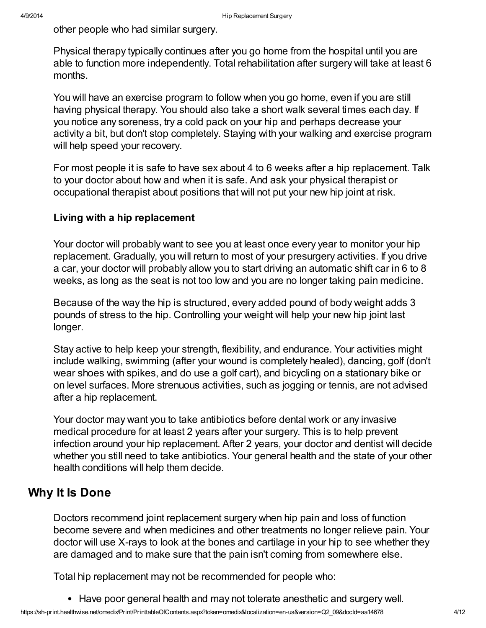other people who had similar surgery.

Physical therapy typically continues after you go home from the hospital until you are able to function more independently. Total rehabilitation after surgery will take at least 6 months.

You will have an exercise program to follow when you go home, even if you are still having physical therapy. You should also take a short walk several times each day. If you notice any soreness, try a cold pack on your hip and perhaps decrease your activity a bit, but don't stop completely. Staying with your walking and exercise program will help speed your recovery.

For most people it is safe to have sex about 4 to 6 weeks after a hip replacement. Talk to your doctor about how and when it is safe. And ask your physical therapist or occupational therapist about positions that will not put your new hip joint at risk.

#### Living with a hip replacement

Your doctor will probably want to see you at least once every year to monitor your hip replacement. Gradually, you will return to most of your presurgery activities. If you drive a car, your doctor will probably allow you to start driving an automatic shift car in 6 to 8 weeks, as long as the seat is not too low and you are no longer taking pain medicine.

Because of the way the hip is structured, every added pound of body weight adds 3 pounds of stress to the hip. Controlling your weight will help your new hip joint last longer.

Stay active to help keep your strength, flexibility, and endurance. Your activities might include walking, swimming (after your wound is completely healed), dancing, golf (don't wear shoes with spikes, and do use a golf cart), and bicycling on a stationary bike or on level surfaces. More strenuous activities, such as jogging or tennis, are not advised after a hip replacement.

Your doctor may want you to take antibiotics before dental work or any invasive medical procedure for at least 2 years after your surgery. This is to help prevent infection around your hip replacement. After 2 years, your doctor and dentist will decide whether you still need to take antibiotics. Your general health and the state of your other health conditions will help them decide.

### Why It Is Done

Doctors recommend joint replacement surgery when hip pain and loss of function become severe and when medicines and other treatments no longer relieve pain. Your doctor will use X-rays to look at the bones and cartilage in your hip to see whether they are damaged and to make sure that the pain isn't coming from somewhere else.

Total hip replacement may not be recommended for people who:

Have poor general health and may not tolerate anesthetic and surgery well.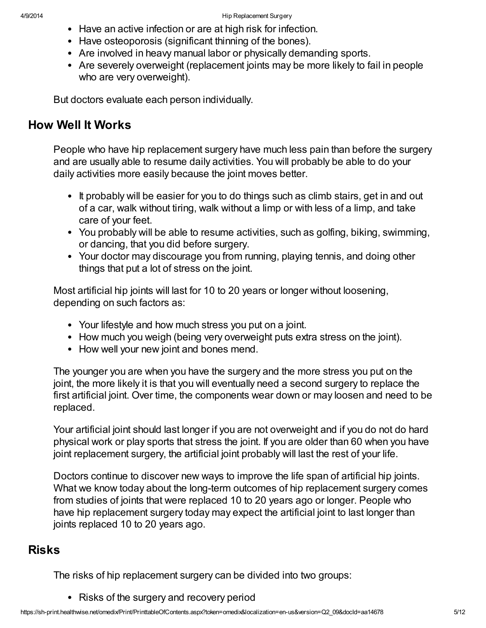- Have an active infection or are at high risk for infection.
- Have osteoporosis (significant thinning of the bones).
- Are involved in heavy manual labor or physically demanding sports.
- Are severely overweight (replacement joints may be more likely to fail in people who are very overweight).

But doctors evaluate each person individually.

### How Well It Works

People who have hip replacement surgery have much less pain than before the surgery and are usually able to resume daily activities. You will probably be able to do your daily activities more easily because the joint moves better.

- It probably will be easier for you to do things such as climb stairs, get in and out of a car, walk without tiring, walk without a limp or with less of a limp, and take care of your feet.
- You probably will be able to resume activities, such as golfing, biking, swimming, or dancing, that you did before surgery.
- Your doctor may discourage you from running, playing tennis, and doing other things that put a lot of stress on the joint.

Most artificial hip joints will last for 10 to 20 years or longer without loosening, depending on such factors as:

- Your lifestyle and how much stress you put on a joint.
- How much you weigh (being very overweight puts extra stress on the joint).
- How well your new joint and bones mend.

The younger you are when you have the surgery and the more stress you put on the joint, the more likely it is that you will eventually need a second surgery to replace the first artificial joint. Over time, the components wear down or may loosen and need to be replaced.

Your artificial joint should last longer if you are not overweight and if you do not do hard physical work or play sports that stress the joint. If you are older than 60 when you have joint replacement surgery, the artificial joint probably will last the rest of your life.

Doctors continue to discover new ways to improve the life span of artificial hip joints. What we know today about the long-term outcomes of hip replacement surgery comes from studies of joints that were replaced 10 to 20 years ago or longer. People who have hip replacement surgery today may expect the artificial joint to last longer than joints replaced 10 to 20 years ago.

## Risks

The risks of hip replacement surgery can be divided into two groups:

• Risks of the surgery and recovery period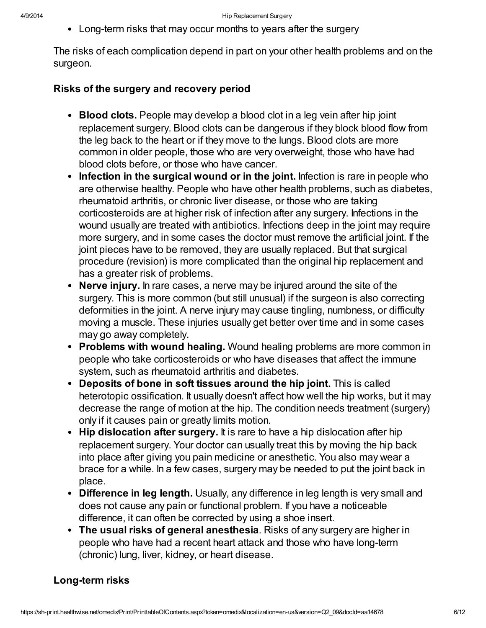Long-term risks that may occur months to years after the surgery

The risks of each complication depend in part on your other health problems and on the surgeon.

#### Risks of the surgery and recovery period

- Blood clots. People may develop a blood clot in a leg vein after hip joint replacement surgery. Blood clots can be dangerous if they block blood flow from the leg back to the heart or if they move to the lungs. Blood clots are more common in older people, those who are very overweight, those who have had blood clots before, or those who have cancer.
- Infection in the surgical wound or in the joint. Infection is rare in people who are otherwise healthy. People who have other health problems, such as diabetes, rheumatoid arthritis, or chronic liver disease, or those who are taking corticosteroids are at higher risk of infection after any surgery. Infections in the wound usually are treated with antibiotics. Infections deep in the joint may require more surgery, and in some cases the doctor must remove the artificial joint. If the joint pieces have to be removed, they are usually replaced. But that surgical procedure (revision) is more complicated than the original hip replacement and has a greater risk of problems.
- Nerve injury. In rare cases, a nerve may be injured around the site of the surgery. This is more common (but still unusual) if the surgeon is also correcting deformities in the joint. A nerve injury may cause tingling, numbness, or difficulty moving a muscle. These injuries usually get better over time and in some cases may go away completely.
- Problems with wound healing. Wound healing problems are more common in people who take corticosteroids or who have diseases that affect the immune system, such as rheumatoid arthritis and diabetes.
- Deposits of bone in soft tissues around the hip joint. This is called heterotopic ossification. It usually doesn't affect how well the hip works, but it may decrease the range of motion at the hip. The condition needs treatment (surgery) only if it causes pain or greatly limits motion.
- Hip dislocation after surgery. It is rare to have a hip dislocation after hip replacement surgery. Your doctor can usually treat this by moving the hip back into place after giving you pain medicine or anesthetic. You also may wear a brace for a while. In a few cases, surgery may be needed to put the joint back in place.
- Difference in leg length. Usually, any difference in leg length is very small and does not cause any pain or functional problem. If you have a noticeable difference, it can often be corrected by using a shoe insert.
- The usual risks of general anesthesia. Risks of any surgery are higher in people who have had a recent heart attack and those who have long-term (chronic) lung, liver, kidney, or heart disease.

#### Long-term risks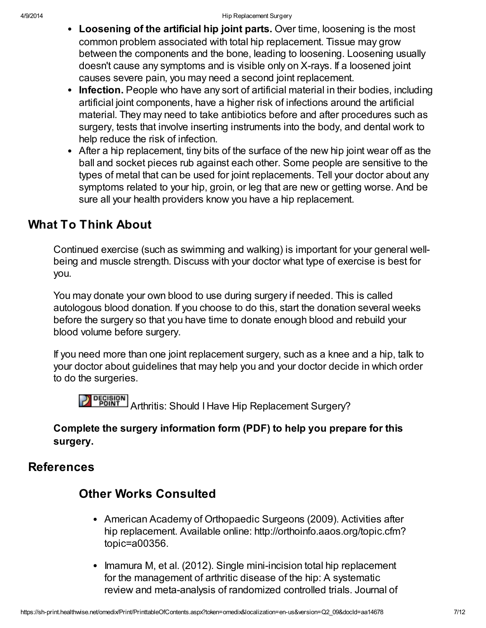- Loosening of the artificial hip joint parts. Over time, loosening is the most common problem associated with total hip replacement. Tissue may grow between the components and the bone, leading to loosening. Loosening usually doesn't cause any symptoms and is visible only on X-rays. If a loosened joint causes severe pain, you may need a second joint replacement.
- Infection. People who have any sort of artificial material in their bodies, including artificial joint components, have a higher risk of infections around the artificial material. They may need to take antibiotics before and after procedures such as surgery, tests that involve inserting instruments into the body, and dental work to help reduce the risk of infection.
- After a hip replacement, tiny bits of the surface of the new hip joint wear off as the ball and socket pieces rub against each other. Some people are sensitive to the types of metal that can be used for joint replacements. Tell your doctor about any symptoms related to your hip, groin, or leg that are new or getting worse. And be sure all your health providers know you have a hip replacement.

## What To Think About

Continued exercise (such as swimming and walking) is important for your general wellbeing and muscle strength. Discuss with your doctor what type of exercise is best for you.

You may donate your own blood to use during surgery if needed. This is called autologous blood donation. If you choose to do this, start the donation several weeks before the surgery so that you have time to donate enough blood and rebuild your blood volume before surgery.

If you need more than one joint replacement surgery, such as a knee and a hip, talk to your doctor about guidelines that may help you and your doctor decide in which order to do the surgeries.

**DECISION** Arthritis: Should I Have Hip Replacement Surgery?

### Complete the surgery information form (PDF) to help you prepare for this surgery.

## **References**

## Other Works Consulted

- American Academy of Orthopaedic Surgeons (2009). Activities after hip replacement. Available online: http://orthoinfo.aaos.org/topic.cfm? topic=a00356.
- Imamura M, et al. (2012). Single mini-incision total hip replacement for the management of arthritic disease of the hip: A systematic review and meta-analysis of randomized controlled trials. Journal of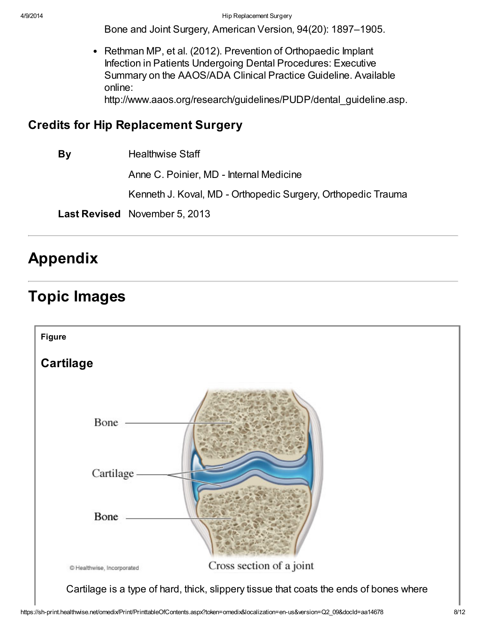Bone and Joint Surgery, American Version, 94(20): 1897–1905.

 $\bullet$ Rethman MP, et al. (2012). Prevention of Orthopaedic Implant Infection in Patients Undergoing Dental Procedures: Executive Summary on the AAOS/ADA Clinical Practice Guideline. Available online: http://www.aaos.org/research/guidelines/PUDP/dental\_guideline.asp.

### Credits for Hip Replacement Surgery

By Healthwise Staff

Anne C. Poinier, MD - Internal Medicine

Kenneth J. Koval, MD - Orthopedic Surgery, Orthopedic Trauma

Last Revised November 5, 2013

# Appendix

# Topic Images

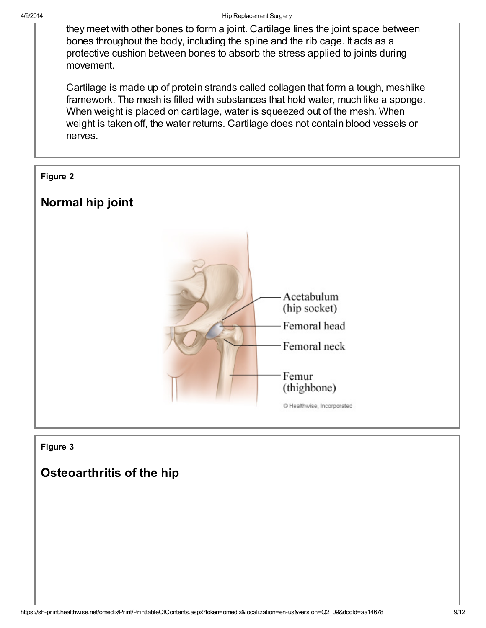they meet with other bones to form a joint. Cartilage lines the joint space between bones throughout the body, including the spine and the rib cage. It acts as a protective cushion between bones to absorb the stress applied to joints during movement.

Cartilage is made up of protein strands called collagen that form a tough, meshlike framework. The mesh is filled with substances that hold water, much like a sponge. When weight is placed on cartilage, water is squeezed out of the mesh. When weight is taken off, the water returns. Cartilage does not contain blood vessels or nerves.

#### Figure 2

## Normal hip joint



#### Figure 3

## Osteoarthritis of the hip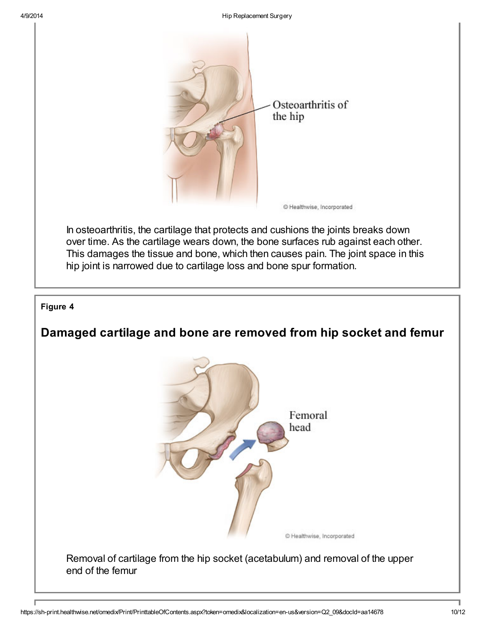

#### Figure 4

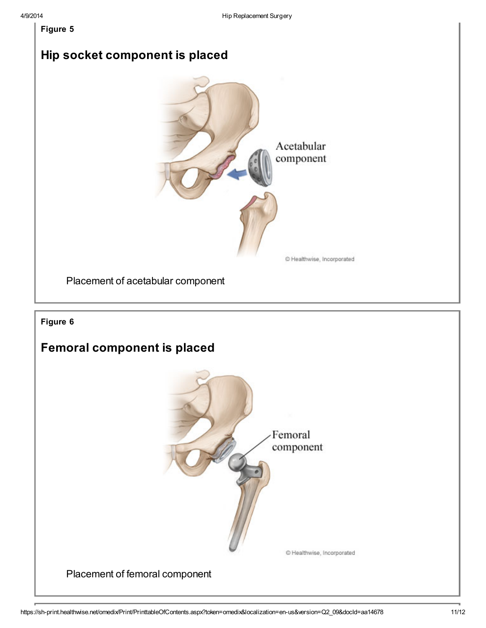